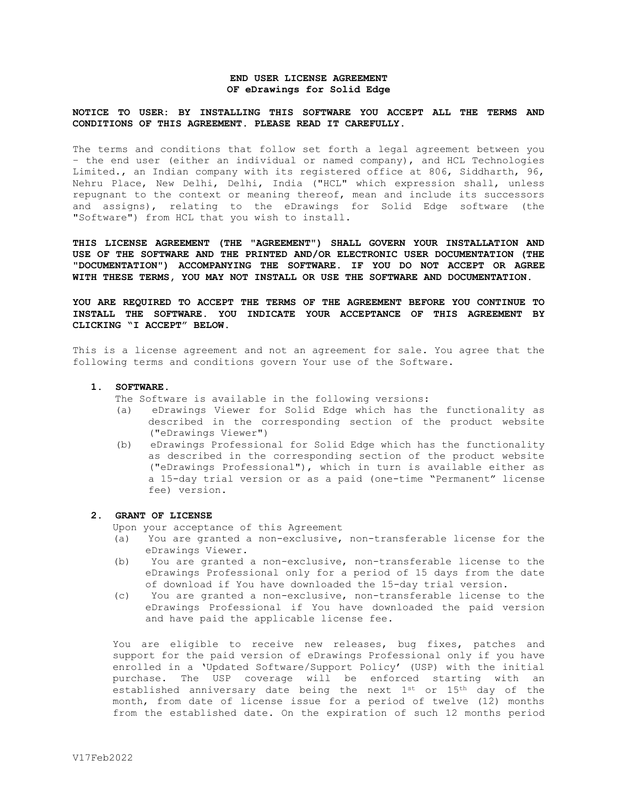### **END USER LICENSE AGREEMENT OF eDrawings for Solid Edge**

## **NOTICE TO USER: BY INSTALLING THIS SOFTWARE YOU ACCEPT ALL THE TERMS AND CONDITIONS OF THIS AGREEMENT. PLEASE READ IT CAREFULLY.**

The terms and conditions that follow set forth a legal agreement between you – the end user (either an individual or named company), and HCL Technologies Limited., an Indian company with its registered office at 806, Siddharth, 96, Nehru Place, New Delhi, Delhi, India ("HCL" which expression shall, unless repugnant to the context or meaning thereof, mean and include its successors and assigns), relating to the eDrawings for Solid Edge software (the "Software") from HCL that you wish to install.

**THIS LICENSE AGREEMENT (THE "AGREEMENT") SHALL GOVERN YOUR INSTALLATION AND USE OF THE SOFTWARE AND THE PRINTED AND/OR ELECTRONIC USER DOCUMENTATION (THE "DOCUMENTATION") ACCOMPANYING THE SOFTWARE. IF YOU DO NOT ACCEPT OR AGREE WITH THESE TERMS, YOU MAY NOT INSTALL OR USE THE SOFTWARE AND DOCUMENTATION.** 

**YOU ARE REQUIRED TO ACCEPT THE TERMS OF THE AGREEMENT BEFORE YOU CONTINUE TO INSTALL THE SOFTWARE. YOU INDICATE YOUR ACCEPTANCE OF THIS AGREEMENT BY CLICKING "I ACCEPT" BELOW.**

This is a license agreement and not an agreement for sale. You agree that the following terms and conditions govern Your use of the Software.

#### **1. SOFTWARE.**

The Software is available in the following versions:

- (a) eDrawings Viewer for Solid Edge which has the functionality as described in the corresponding section of the product website ("eDrawings Viewer")
- (b) eDrawings Professional for Solid Edge which has the functionality as described in the corresponding section of the product website ("eDrawings Professional"), which in turn is available either as a 15-day trial version or as a paid (one-time "Permanent" license fee) version**.**

#### **2. GRANT OF LICENSE**

Upon your acceptance of this Agreement

- (a) You are granted a non-exclusive, non-transferable license for the eDrawings Viewer.
- (b) You are granted a non-exclusive, non-transferable license to the eDrawings Professional only for a period of 15 days from the date of download if You have downloaded the 15-day trial version.
- (c) You are granted a non-exclusive, non-transferable license to the eDrawings Professional if You have downloaded the paid version and have paid the applicable license fee.

You are eligible to receive new releases, bug fixes, patches and support for the paid version of eDrawings Professional only if you have enrolled in a 'Updated Software/Support Policy' (USP) with the initial purchase. The USP coverage will be enforced starting with an established anniversary date being the next  $1^{st}$  or  $15^{th}$  day of the month, from date of license issue for a period of twelve (12) months from the established date. On the expiration of such 12 months period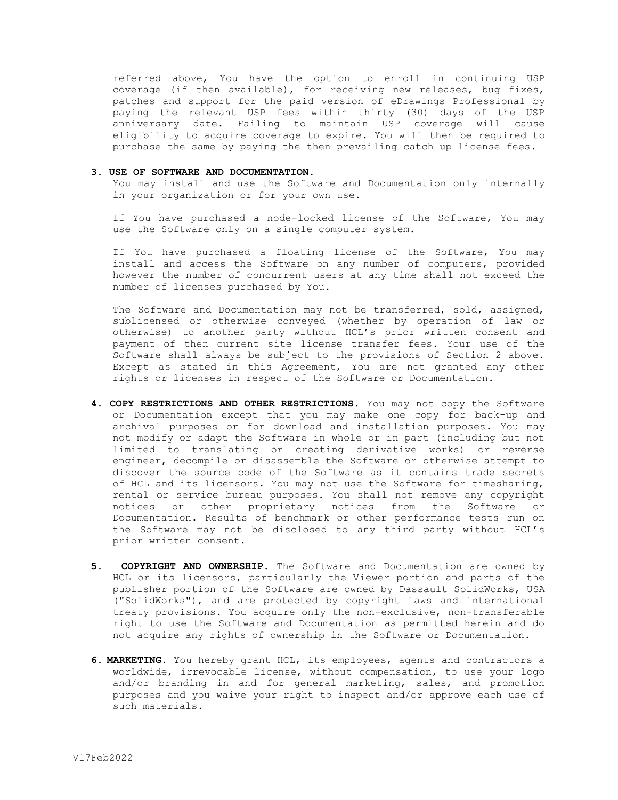referred above, You have the option to enroll in continuing USP coverage (if then available), for receiving new releases, bug fixes, patches and support for the paid version of eDrawings Professional by paying the relevant USP fees within thirty (30) days of the USP anniversary date. Failing to maintain USP coverage will cause eligibility to acquire coverage to expire. You will then be required to purchase the same by paying the then prevailing catch up license fees.

#### **3. USE OF SOFTWARE AND DOCUMENTATION.**

You may install and use the Software and Documentation only internally in your organization or for your own use.

If You have purchased a node-locked license of the Software, You may use the Software only on a single computer system.

If You have purchased a floating license of the Software, You may install and access the Software on any number of computers, provided however the number of concurrent users at any time shall not exceed the number of licenses purchased by You.

The Software and Documentation may not be transferred, sold, assigned, sublicensed or otherwise conveyed (whether by operation of law or otherwise) to another party without HCL's prior written consent and payment of then current site license transfer fees. Your use of the Software shall always be subject to the provisions of Section 2 above. Except as stated in this Agreement, You are not granted any other rights or licenses in respect of the Software or Documentation.

- **4. COPY RESTRICTIONS AND OTHER RESTRICTIONS.** You may not copy the Software or Documentation except that you may make one copy for back-up and archival purposes or for download and installation purposes. You may not modify or adapt the Software in whole or in part (including but not limited to translating or creating derivative works) or reverse engineer, decompile or disassemble the Software or otherwise attempt to discover the source code of the Software as it contains trade secrets of HCL and its licensors. You may not use the Software for timesharing, rental or service bureau purposes. You shall not remove any copyright notices or other proprietary notices from the Software or Documentation. Results of benchmark or other performance tests run on the Software may not be disclosed to any third party without HCL's prior written consent.
- **5. COPYRIGHT AND OWNERSHIP.** The Software and Documentation are owned by HCL or its licensors, particularly the Viewer portion and parts of the publisher portion of the Software are owned by Dassault SolidWorks, USA ("SolidWorks"), and are protected by copyright laws and international treaty provisions. You acquire only the non-exclusive, non-transferable right to use the Software and Documentation as permitted herein and do not acquire any rights of ownership in the Software or Documentation.
- **6. MARKETING.** You hereby grant HCL, its employees, agents and contractors a worldwide, irrevocable license, without compensation, to use your logo and/or branding in and for general marketing, sales, and promotion purposes and you waive your right to inspect and/or approve each use of such materials.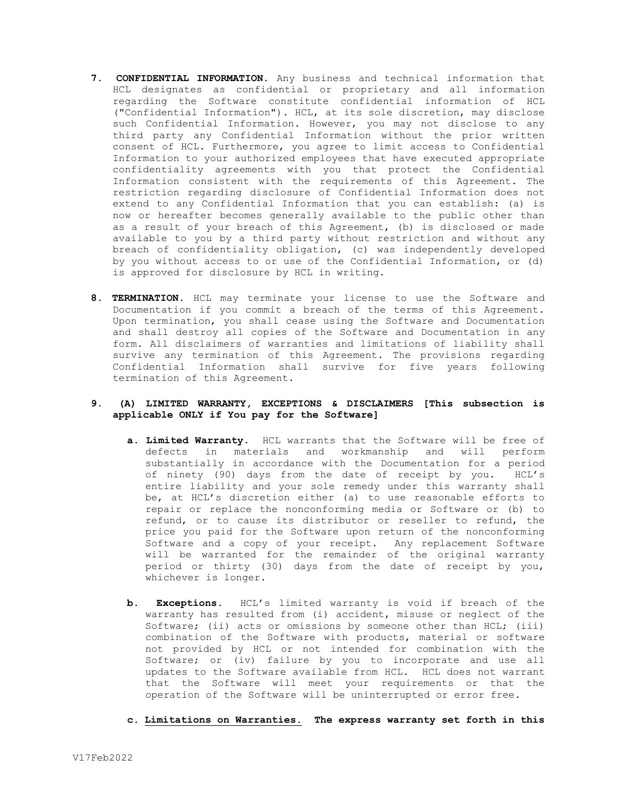- **7. CONFIDENTIAL INFORMATION.** Any business and technical information that HCL designates as confidential or proprietary and all information regarding the Software constitute confidential information of HCL ("Confidential Information"). HCL, at its sole discretion, may disclose such Confidential Information. However, you may not disclose to any third party any Confidential Information without the prior written consent of HCL. Furthermore, you agree to limit access to Confidential Information to your authorized employees that have executed appropriate confidentiality agreements with you that protect the Confidential Information consistent with the requirements of this Agreement. The restriction regarding disclosure of Confidential Information does not extend to any Confidential Information that you can establish: (a) is now or hereafter becomes generally available to the public other than as a result of your breach of this Agreement, (b) is disclosed or made available to you by a third party without restriction and without any breach of confidentiality obligation, (c) was independently developed by you without access to or use of the Confidential Information, or (d) is approved for disclosure by HCL in writing.
- **8. TERMINATION.** HCL may terminate your license to use the Software and Documentation if you commit a breach of the terms of this Agreement. Upon termination, you shall cease using the Software and Documentation and shall destroy all copies of the Software and Documentation in any form. All disclaimers of warranties and limitations of liability shall survive any termination of this Agreement. The provisions regarding Confidential Information shall survive for five years following termination of this Agreement.

# **9. (A) LIMITED WARRANTY, EXCEPTIONS & DISCLAIMERS [This subsection is applicable ONLY if You pay for the Software]**

- **a. Limited Warranty.** HCL warrants that the Software will be free of defects in materials and workmanship and will perform substantially in accordance with the Documentation for a period of ninety (90) days from the date of receipt by you. HCL's entire liability and your sole remedy under this warranty shall be, at HCL's discretion either (a) to use reasonable efforts to repair or replace the nonconforming media or Software or (b) to refund, or to cause its distributor or reseller to refund, the price you paid for the Software upon return of the nonconforming Software and a copy of your receipt. Any replacement Software will be warranted for the remainder of the original warranty period or thirty (30) days from the date of receipt by you, whichever is longer.
- **b. Exceptions.** HCL's limited warranty is void if breach of the warranty has resulted from (i) accident, misuse or neglect of the Software; (ii) acts or omissions by someone other than HCL; (iii) combination of the Software with products, material or software not provided by HCL or not intended for combination with the Software; or (iv) failure by you to incorporate and use all updates to the Software available from HCL. HCL does not warrant that the Software will meet your requirements or that the operation of the Software will be uninterrupted or error free.
- **c. Limitations on Warranties. The express warranty set forth in this**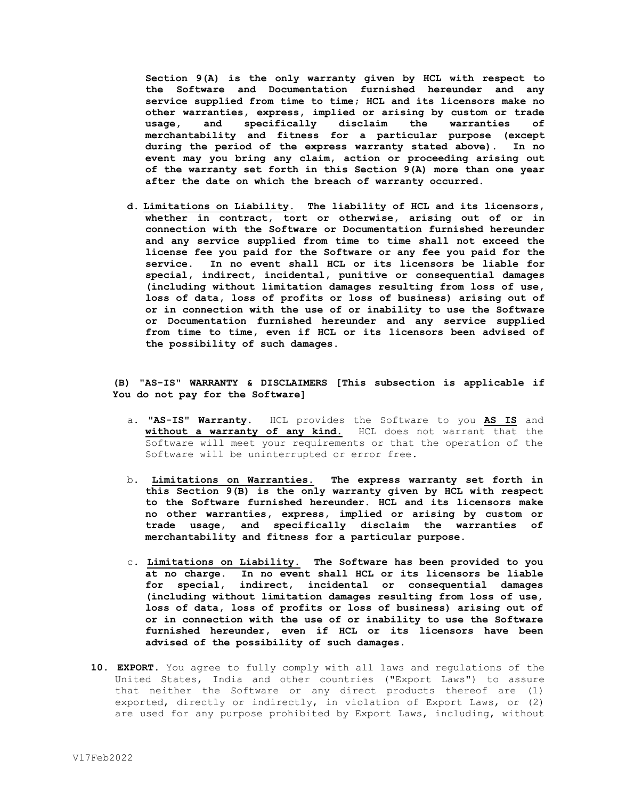**Section 9(A) is the only warranty given by HCL with respect to the Software and Documentation furnished hereunder and any service supplied from time to time; HCL and its licensors make no other warranties, express, implied or arising by custom or trade usage, and specifically disclaim the warranties of merchantability and fitness for a particular purpose (except during the period of the express warranty stated above). In no event may you bring any claim, action or proceeding arising out of the warranty set forth in this Section 9(A) more than one year after the date on which the breach of warranty occurred.**

**d. Limitations on Liability. The liability of HCL and its licensors, whether in contract, tort or otherwise, arising out of or in connection with the Software or Documentation furnished hereunder and any service supplied from time to time shall not exceed the license fee you paid for the Software or any fee you paid for the service. In no event shall HCL or its licensors be liable for special, indirect, incidental, punitive or consequential damages (including without limitation damages resulting from loss of use, loss of data, loss of profits or loss of business) arising out of or in connection with the use of or inability to use the Software or Documentation furnished hereunder and any service supplied from time to time, even if HCL or its licensors been advised of the possibility of such damages.** 

**(B) "AS-IS" WARRANTY & DISCLAIMERS [This subsection is applicable if You do not pay for the Software]**

- a. **"AS-IS" Warranty.** HCL provides the Software to you **AS IS** and **without a warranty of any kind.** HCL does not warrant that the Software will meet your requirements or that the operation of the Software will be uninterrupted or error free**.**
- b. **Limitations on Warranties. The express warranty set forth in this Section 9(B) is the only warranty given by HCL with respect to the Software furnished hereunder. HCL and its licensors make no other warranties, express, implied or arising by custom or trade usage, and specifically disclaim the warranties of merchantability and fitness for a particular purpose.**
- c. **Limitations on Liability. The Software has been provided to you at no charge. In no event shall HCL or its licensors be liable for special, indirect, incidental or consequential damages (including without limitation damages resulting from loss of use, loss of data, loss of profits or loss of business) arising out of or in connection with the use of or inability to use the Software furnished hereunder, even if HCL or its licensors have been advised of the possibility of such damages.**
- **10. EXPORT.** You agree to fully comply with all laws and regulations of the United States, India and other countries ("Export Laws") to assure that neither the Software or any direct products thereof are (1) exported, directly or indirectly, in violation of Export Laws, or (2) are used for any purpose prohibited by Export Laws, including, without